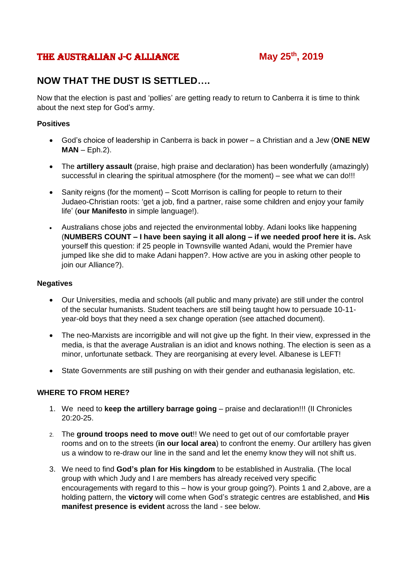## The Australian J-C Alliance **May 25th, 2019**

# **NOW THAT THE DUST IS SETTLED….**

Now that the election is past and 'pollies' are getting ready to return to Canberra it is time to think about the next step for God's army.

#### **Positives**

- God's choice of leadership in Canberra is back in power a Christian and a Jew (**ONE NEW MAN** – Eph.2).
- The **artillery assault** (praise, high praise and declaration) has been wonderfully (amazingly) successful in clearing the spiritual atmosphere (for the moment) – see what we can do!!!
- Sanity reigns (for the moment) Scott Morrison is calling for people to return to their Judaeo-Christian roots: 'get a job, find a partner, raise some children and enjoy your family life' (**our Manifesto** in simple language!).
- Australians chose jobs and rejected the environmental lobby. Adani looks like happening (**NUMBERS COUNT – I have been saying it all along – if we needed proof here it is.** Ask yourself this question: if 25 people in Townsville wanted Adani, would the Premier have jumped like she did to make Adani happen?. How active are you in asking other people to join our Alliance?).

#### **Negatives**

- Our Universities, media and schools (all public and many private) are still under the control of the secular humanists. Student teachers are still being taught how to persuade 10-11 year-old boys that they need a sex change operation (see attached document).
- The neo-Marxists are incorrigible and will not give up the fight. In their view, expressed in the media, is that the average Australian is an idiot and knows nothing. The election is seen as a minor, unfortunate setback. They are reorganising at every level. Albanese is LEFT!
- State Governments are still pushing on with their gender and euthanasia legislation, etc.

#### **WHERE TO FROM HERE?**

- 1. We need to **keep the artillery barrage going** praise and declaration!!! (II Chronicles 20:20-25.
- 2. The **ground troops need to move out**!! We need to get out of our comfortable prayer rooms and on to the streets (**in our local area**) to confront the enemy. Our artillery has given us a window to re-draw our line in the sand and let the enemy know they will not shift us.
- 3. We need to find **God's plan for His kingdom** to be established in Australia. (The local group with which Judy and I are members has already received very specific encouragements with regard to this – how is your group going?). Points 1 and 2,above, are a holding pattern, the **victory** will come when God's strategic centres are established, and **His manifest presence is evident** across the land - see below.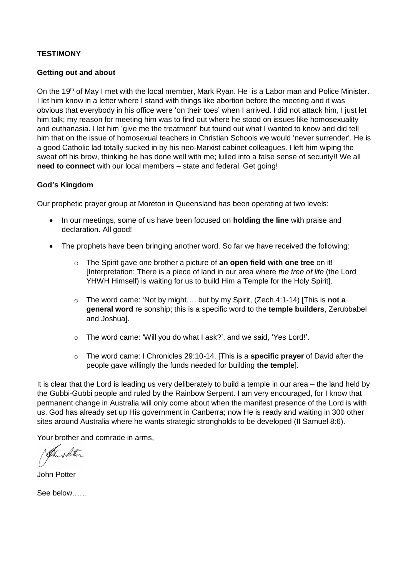#### **TESTIMONY**

#### **Getting out and about**

On the 19<sup>th</sup> of May I met with the local member, Mark Ryan. He is a Labor man and Police Minister. I let him know in a letter where I stand with things like abortion before the meeting and it was obvious that everybody in his office were 'on their toes' when I arrived. I did not attack him, I just let him talk; my reason for meeting him was to find out where he stood on issues like homosexuality and euthanasia. I let him 'give me the treatment' but found out what I wanted to know and did tell him that on the issue of homosexual teachers in Christian Schools we would 'never surrender'. He is a good Catholic lad totally sucked in by his neo-Marxist cabinet colleagues. I left him wiping the sweat off his brow, thinking he has done well with me; lulled into a false sense of security!! We all **need to connect** with our local members – state and federal. Get going!

### **God's Kingdom**

Our prophetic prayer group at Moreton in Queensland has been operating at two levels:

- In our meetings, some of us have been focused on **holding the line** with praise and declaration. All good!
- The prophets have been bringing another word. So far we have received the following:
	- o The Spirit gave one brother a picture of **an open field with one tree** on it! [Interpretation: There is a piece of land in our area where *the tree of life* (the Lord YHWH Himself) is waiting for us to build Him a Temple for the Holy Spirit].
	- o The word came: 'Not by might…. but by my Spirit, (Zech.4:1-14) [This is **not a general word** re sonship; this is a specific word to the **temple builders**, Zerubbabel and Joshua].
	- o The word came: 'Will you do what I ask?', and we said, 'Yes Lord!'.
	- o The word came: I Chronicles 29:10-14. [This is a **specific prayer** of David after the people gave willingly the funds needed for building **the temple**].

It is clear that the Lord is leading us very deliberately to build a temple in our area – the land held by the Gubbi-Gubbi people and ruled by the Rainbow Serpent. I am very encouraged, for I know that permanent change in Australia will only come about when the manifest presence of the Lord is with us. God has already set up His government in Canberra; now He is ready and waiting in 300 other sites around Australia where he wants strategic strongholds to be developed (II Samuel 8:6).

Your brother and comrade in arms,

Ch shotter

John Potter

See below……